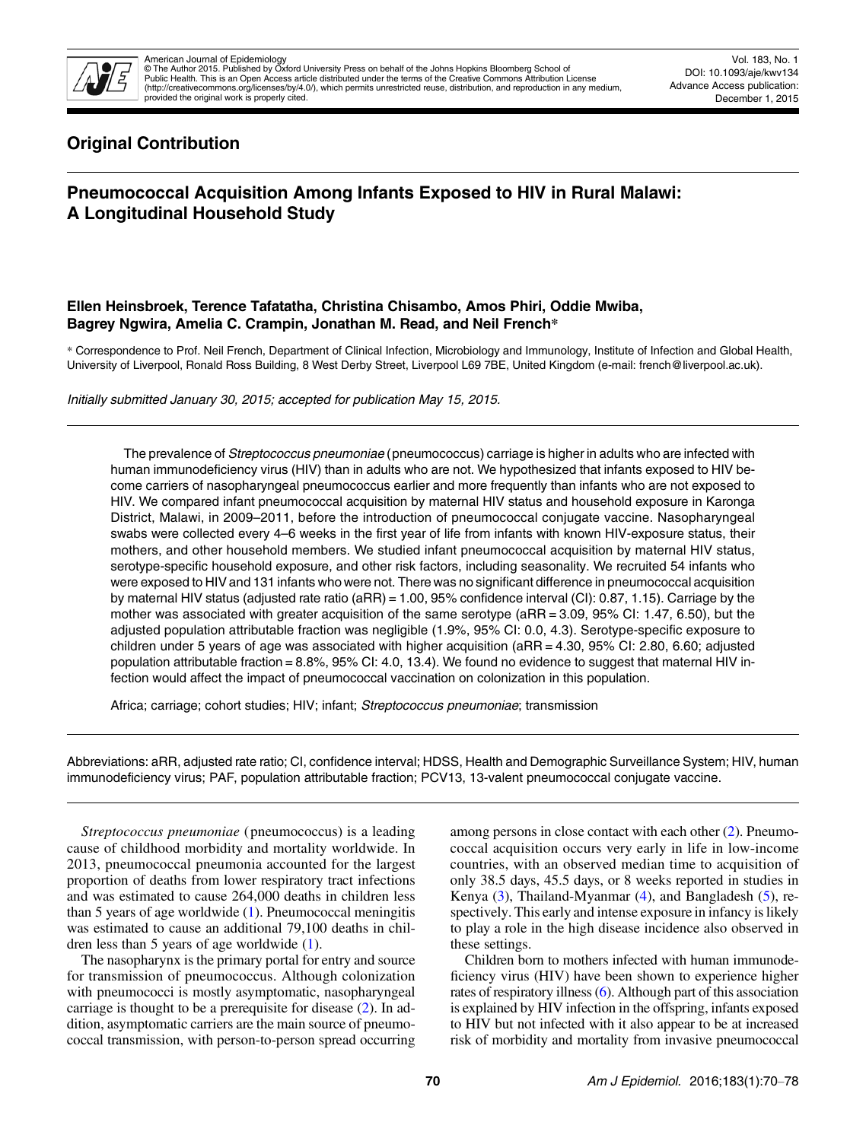

# Original Contribution

# Pneumococcal Acquisition Among Infants Exposed to HIV in Rural Malawi: A Longitudinal Household Study

# Ellen Heinsbroek, Terence Tafatatha, Christina Chisambo, Amos Phiri, Oddie Mwiba, Bagrey Ngwira, Amelia C. Crampin, Jonathan M. Read, and Neil French\*

\* Correspondence to Prof. Neil French, Department of Clinical Infection, Microbiology and Immunology, Institute of Infection and Global Health, University of Liverpool, Ronald Ross Building, 8 West Derby Street, Liverpool L69 7BE, United Kingdom (e-mail: french@liverpool.ac.uk).

Initially submitted January 30, 2015; accepted for publication May 15, 2015.

The prevalence of Streptococcus pneumoniae (pneumococcus) carriage is higher in adults who are infected with human immunodeficiency virus (HIV) than in adults who are not. We hypothesized that infants exposed to HIV become carriers of nasopharyngeal pneumococcus earlier and more frequently than infants who are not exposed to HIV. We compared infant pneumococcal acquisition by maternal HIV status and household exposure in Karonga District, Malawi, in 2009–2011, before the introduction of pneumococcal conjugate vaccine. Nasopharyngeal swabs were collected every 4–6 weeks in the first year of life from infants with known HIV-exposure status, their mothers, and other household members. We studied infant pneumococcal acquisition by maternal HIV status, serotype-specific household exposure, and other risk factors, including seasonality. We recruited 54 infants who were exposed to HIV and 131 infants who were not. There was no significant difference in pneumococcal acquisition by maternal HIV status (adjusted rate ratio (aRR) = 1.00, 95% confidence interval (CI): 0.87, 1.15). Carriage by the mother was associated with greater acquisition of the same serotype (aRR = 3.09, 95% CI: 1.47, 6.50), but the adjusted population attributable fraction was negligible (1.9%, 95% CI: 0.0, 4.3). Serotype-specific exposure to children under 5 years of age was associated with higher acquisition (aRR = 4.30, 95% CI: 2.80, 6.60; adjusted population attributable fraction = 8.8%, 95% CI: 4.0, 13.4). We found no evidence to suggest that maternal HIV infection would affect the impact of pneumococcal vaccination on colonization in this population.

Africa; carriage; cohort studies; HIV; infant; Streptococcus pneumoniae; transmission

Abbreviations: aRR, adjusted rate ratio; CI, confidence interval; HDSS, Health and Demographic Surveillance System; HIV, human immunodeficiency virus; PAF, population attributable fraction; PCV13, 13-valent pneumococcal conjugate vaccine.

Streptococcus pneumoniae ( pneumococcus) is a leading cause of childhood morbidity and mortality worldwide. In 2013, pneumococcal pneumonia accounted for the largest proportion of deaths from lower respiratory tract infections and was estimated to cause 264,000 deaths in children less than 5 years of age worldwide ([1\)](#page-8-0). Pneumococcal meningitis was estimated to cause an additional 79,100 deaths in children less than 5 years of age worldwide ([1](#page-8-0)).

The nasopharynx is the primary portal for entry and source for transmission of pneumococcus. Although colonization with pneumococci is mostly asymptomatic, nasopharyngeal carriage is thought to be a prerequisite for disease [\(2](#page-8-0)). In addition, asymptomatic carriers are the main source of pneumococcal transmission, with person-to-person spread occurring among persons in close contact with each other [\(2](#page-8-0)). Pneumococcal acquisition occurs very early in life in low-income countries, with an observed median time to acquisition of only 38.5 days, 45.5 days, or 8 weeks reported in studies in Kenya  $(3)$  $(3)$ , Thailand-Myanmar  $(4)$  $(4)$ , and Bangladesh  $(5)$  $(5)$ , respectively. This early and intense exposure in infancy is likely to play a role in the high disease incidence also observed in these settings.

Children born to mothers infected with human immunodeficiency virus (HIV) have been shown to experience higher rates of respiratory illness [\(6](#page-8-0)). Although part of this association is explained by HIV infection in the offspring, infants exposed to HIV but not infected with it also appear to be at increased risk of morbidity and mortality from invasive pneumococcal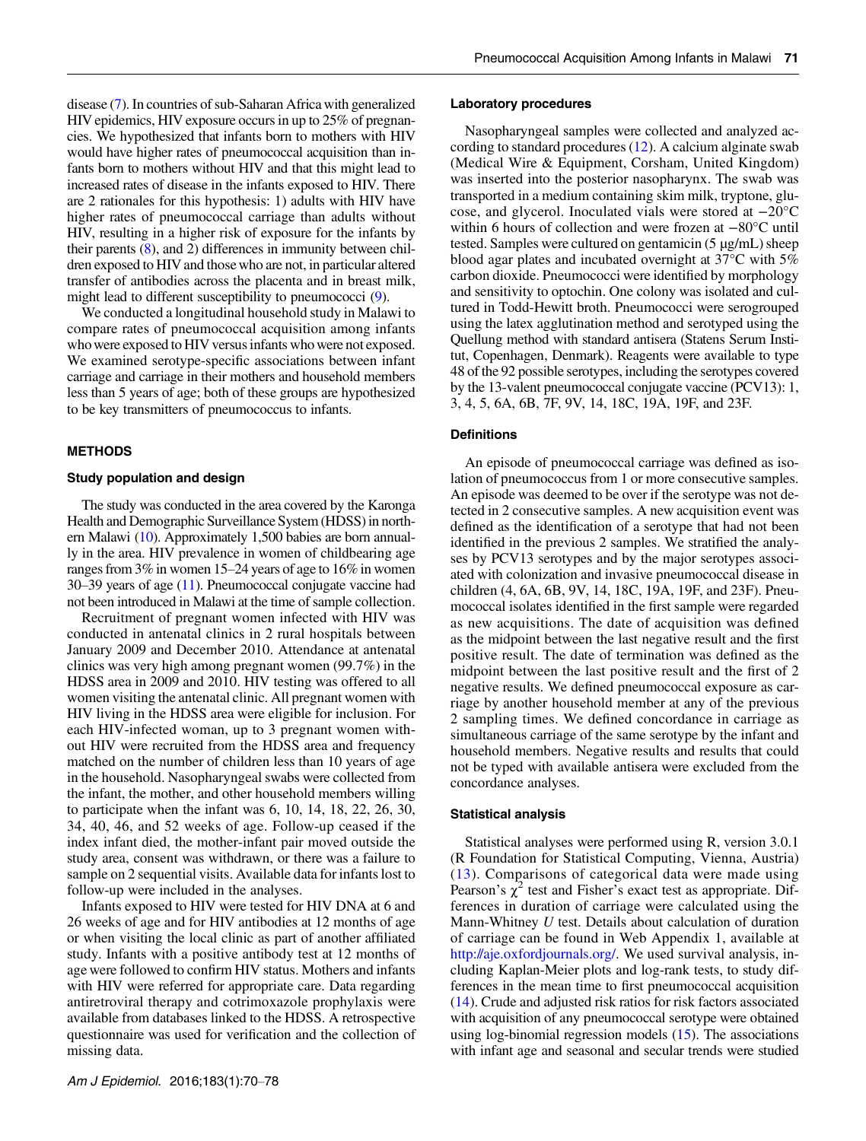disease ([7](#page-8-0)). In countries of sub-Saharan Africa with generalized HIV epidemics, HIV exposure occurs in up to 25% of pregnancies. We hypothesized that infants born to mothers with HIV would have higher rates of pneumococcal acquisition than infants born to mothers without HIV and that this might lead to increased rates of disease in the infants exposed to HIV. There are 2 rationales for this hypothesis: 1) adults with HIV have higher rates of pneumococcal carriage than adults without HIV, resulting in a higher risk of exposure for the infants by their parents  $(8)$  $(8)$ , and 2) differences in immunity between children exposed to HIV and those who are not, in particular altered transfer of antibodies across the placenta and in breast milk, might lead to different susceptibility to pneumococci [\(9\)](#page-8-0).

We conducted a longitudinal household study in Malawi to compare rates of pneumococcal acquisition among infants who were exposed to HIV versus infants who were not exposed. We examined serotype-specific associations between infant carriage and carriage in their mothers and household members less than 5 years of age; both of these groups are hypothesized to be key transmitters of pneumococcus to infants.

# METHODS

## Study population and design

The study was conducted in the area covered by the Karonga Health and Demographic Surveillance System (HDSS) in northern Malawi [\(10\)](#page-8-0). Approximately 1,500 babies are born annually in the area. HIV prevalence in women of childbearing age ranges from 3% in women 15–24 years of age to 16% in women 30–39 years of age [\(11](#page-8-0)). Pneumococcal conjugate vaccine had not been introduced in Malawi at the time of sample collection.

Recruitment of pregnant women infected with HIV was conducted in antenatal clinics in 2 rural hospitals between January 2009 and December 2010. Attendance at antenatal clinics was very high among pregnant women (99.7%) in the HDSS area in 2009 and 2010. HIV testing was offered to all women visiting the antenatal clinic. All pregnant women with HIV living in the HDSS area were eligible for inclusion. For each HIV-infected woman, up to 3 pregnant women without HIV were recruited from the HDSS area and frequency matched on the number of children less than 10 years of age in the household. Nasopharyngeal swabs were collected from the infant, the mother, and other household members willing to participate when the infant was 6, 10, 14, 18, 22, 26, 30, 34, 40, 46, and 52 weeks of age. Follow-up ceased if the index infant died, the mother-infant pair moved outside the study area, consent was withdrawn, or there was a failure to sample on 2 sequential visits. Available data for infants lost to follow-up were included in the analyses.

Infants exposed to HIV were tested for HIV DNA at 6 and 26 weeks of age and for HIV antibodies at 12 months of age or when visiting the local clinic as part of another affiliated study. Infants with a positive antibody test at 12 months of age were followed to confirm HIV status. Mothers and infants with HIV were referred for appropriate care. Data regarding antiretroviral therapy and cotrimoxazole prophylaxis were available from databases linked to the HDSS. A retrospective questionnaire was used for verification and the collection of missing data.

## Laboratory procedures

Nasopharyngeal samples were collected and analyzed according to standard procedures ([12\)](#page-8-0). A calcium alginate swab (Medical Wire & Equipment, Corsham, United Kingdom) was inserted into the posterior nasopharynx. The swab was transported in a medium containing skim milk, tryptone, glucose, and glycerol. Inoculated vials were stored at −20°C within 6 hours of collection and were frozen at −80°C until tested. Samples were cultured on gentamicin (5 µg/mL) sheep blood agar plates and incubated overnight at 37°C with 5% carbon dioxide. Pneumococci were identified by morphology and sensitivity to optochin. One colony was isolated and cultured in Todd-Hewitt broth. Pneumococci were serogrouped using the latex agglutination method and serotyped using the Quellung method with standard antisera (Statens Serum Institut, Copenhagen, Denmark). Reagents were available to type 48 of the 92 possible serotypes, including the serotypes covered by the 13-valent pneumococcal conjugate vaccine (PCV13): 1, 3, 4, 5, 6A, 6B, 7F, 9V, 14, 18C, 19A, 19F, and 23F.

## **Definitions**

An episode of pneumococcal carriage was defined as isolation of pneumococcus from 1 or more consecutive samples. An episode was deemed to be over if the serotype was not detected in 2 consecutive samples. A new acquisition event was defined as the identification of a serotype that had not been identified in the previous 2 samples. We stratified the analyses by PCV13 serotypes and by the major serotypes associated with colonization and invasive pneumococcal disease in children (4, 6A, 6B, 9V, 14, 18C, 19A, 19F, and 23F). Pneumococcal isolates identified in the first sample were regarded as new acquisitions. The date of acquisition was defined as the midpoint between the last negative result and the first positive result. The date of termination was defined as the midpoint between the last positive result and the first of 2 negative results. We defined pneumococcal exposure as carriage by another household member at any of the previous 2 sampling times. We defined concordance in carriage as simultaneous carriage of the same serotype by the infant and household members. Negative results and results that could not be typed with available antisera were excluded from the concordance analyses.

## Statistical analysis

Statistical analyses were performed using R, version 3.0.1 (R Foundation for Statistical Computing, Vienna, Austria) ([13](#page-8-0)). Comparisons of categorical data were made using Pearson's  $\chi^2$  test and Fisher's exact test as appropriate. Differences in duration of carriage were calculated using the Mann-Whitney U test. Details about calculation of duration of carriage can be found in [Web Appendix 1](http://aje.oxfordjournals.org/lookup/suppl/doi:10.1093/aje/kwv134/-/DC1), available at <http://aje.oxfordjournals.org/>. We used survival analysis, including Kaplan-Meier plots and log-rank tests, to study differences in the mean time to first pneumococcal acquisition [\(14](#page-8-0)). Crude and adjusted risk ratios for risk factors associated with acquisition of any pneumococcal serotype were obtained using log-binomial regression models [\(15](#page-8-0)). The associations with infant age and seasonal and secular trends were studied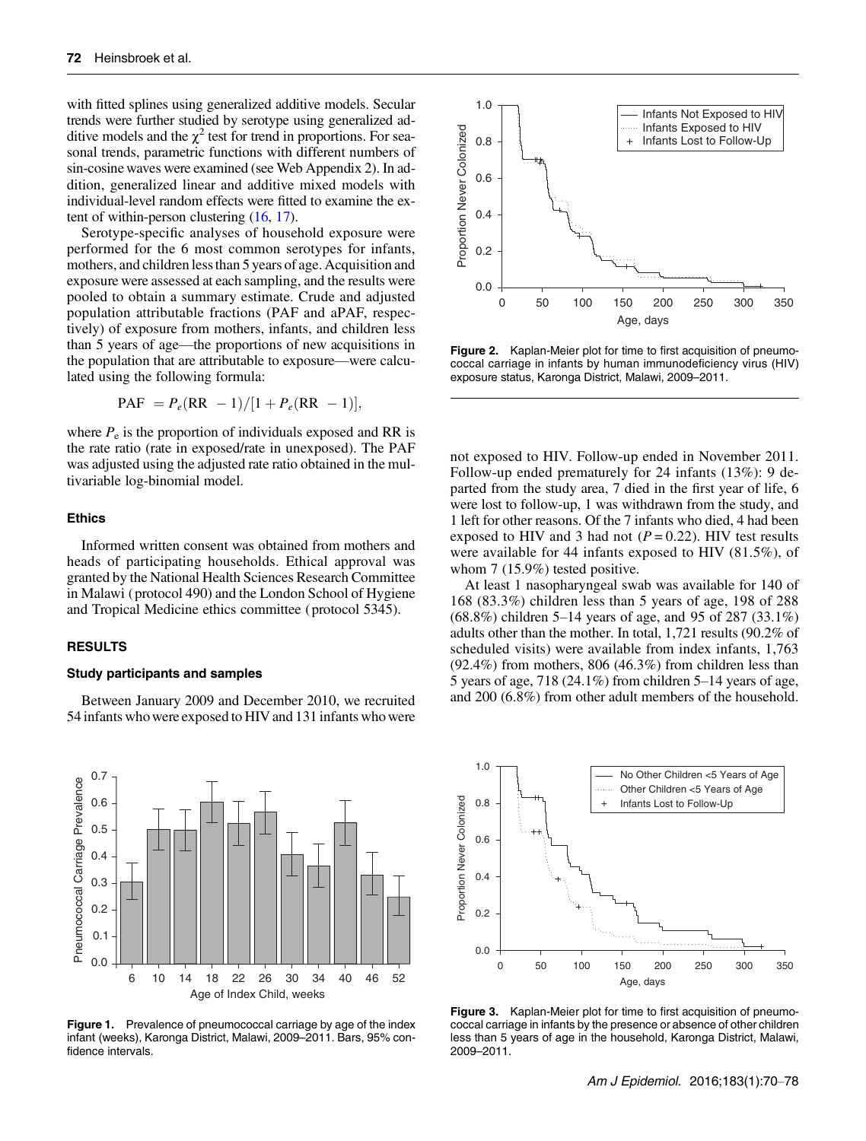<span id="page-2-0"></span>with fitted splines using generalized additive models. Secular trends were further studied by serotype using generalized additive models and the  $\chi^2$  test for trend in proportions. For seasonal trends, parametric functions with different numbers of sin-cosine waves were examined (see [Web Appendix 2\)](http://aje.oxfordjournals.org/lookup/suppl/doi:10.1093/aje/kwv134/-/DC1). In addition, generalized linear and additive mixed models with individual-level random effects were fitted to examine the extent of within-person clustering  $(16, 17)$  $(16, 17)$  $(16, 17)$ .

Serotype-specific analyses of household exposure were performed for the 6 most common serotypes for infants, mothers, and children less than 5 years of age. Acquisition and exposure were assessed at each sampling, and the results were pooled to obtain a summary estimate. Crude and adjusted population attributable fractions (PAF and aPAF, respectively) of exposure from mothers, infants, and children less than 5 years of age—the proportions of new acquisitions in the population that are attributable to exposure—were calculated using the following formula:

$$
PAF = P_e(RR - 1)/[1 + P_e(RR - 1)],
$$

where  $P_e$  is the proportion of individuals exposed and RR is the rate ratio (rate in exposed/rate in unexposed). The PAF was adjusted using the adjusted rate ratio obtained in the multivariable log-binomial model.

### Ethics

Informed written consent was obtained from mothers and heads of participating households. Ethical approval was granted by the National Health Sciences Research Committee in Malawi ( protocol 490) and the London School of Hygiene and Tropical Medicine ethics committee ( protocol 5345).

#### RESULTS

#### Study participants and samples

Between January 2009 and December 2010, we recruited 54 infants who were exposed to HIV and 131 infants who were



Figure 1. Prevalence of pneumococcal carriage by age of the index infant (weeks), Karonga District, Malawi, 2009–2011. Bars, 95% confidence intervals.



Figure 2. Kaplan-Meier plot for time to first acquisition of pneumococcal carriage in infants by human immunodeficiency virus (HIV) exposure status, Karonga District, Malawi, 2009–2011.

not exposed to HIV. Follow-up ended in November 2011. Follow-up ended prematurely for 24 infants (13%): 9 departed from the study area, 7 died in the first year of life, 6 were lost to follow-up, 1 was withdrawn from the study, and 1 left for other reasons. Of the 7 infants who died, 4 had been exposed to HIV and 3 had not  $(P = 0.22)$ . HIV test results were available for 44 infants exposed to HIV (81.5%), of whom 7 (15.9%) tested positive.

At least 1 nasopharyngeal swab was available for 140 of 168 (83.3%) children less than 5 years of age, 198 of 288 (68.8%) children 5–14 years of age, and 95 of 287 (33.1%) adults other than the mother. In total, 1,721 results (90.2% of scheduled visits) were available from index infants, 1,763  $(92.4\%)$  from mothers, 806  $(46.3\%)$  from children less than 5 years of age, 718 (24.1%) from children 5–14 years of age, and 200 (6.8%) from other adult members of the household.



Figure 3. Kaplan-Meier plot for time to first acquisition of pneumococcal carriage in infants by the presence or absence of other children less than 5 years of age in the household, Karonga District, Malawi, 2009–2011.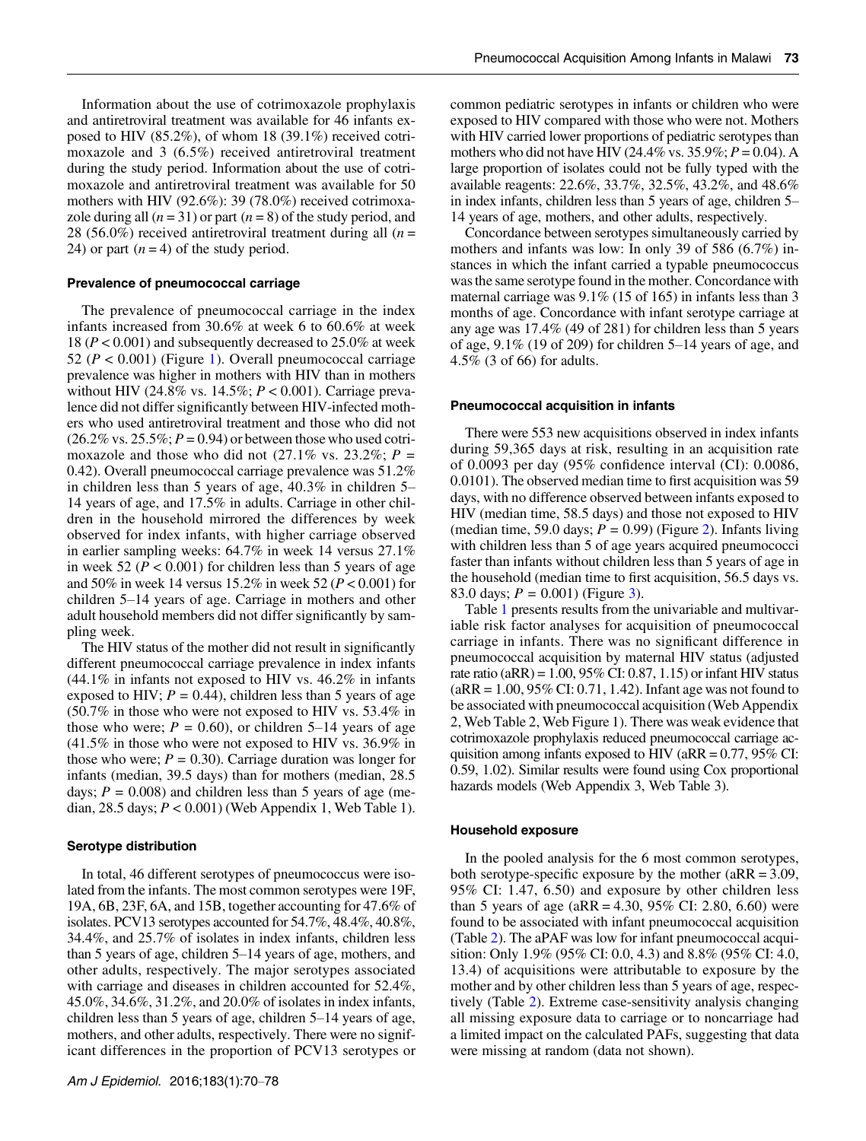Information about the use of cotrimoxazole prophylaxis and antiretroviral treatment was available for 46 infants exposed to HIV (85.2%), of whom 18 (39.1%) received cotrimoxazole and 3 (6.5%) received antiretroviral treatment during the study period. Information about the use of cotrimoxazole and antiretroviral treatment was available for 50 mothers with HIV (92.6%): 39 (78.0%) received cotrimoxazole during all  $(n = 31)$  or part  $(n = 8)$  of the study period, and 28 (56.0%) received antiretroviral treatment during all  $(n =$ 24) or part  $(n = 4)$  of the study period.

#### Prevalence of pneumococcal carriage

The prevalence of pneumococcal carriage in the index infants increased from 30.6% at week 6 to 60.6% at week 18 ( $P < 0.001$ ) and subsequently decreased to 25.0% at week 52 ( $P < 0.001$  $P < 0.001$ ) (Figure 1). Overall pneumococcal carriage prevalence was higher in mothers with HIV than in mothers without HIV (24.8% vs.  $14.5\%$ ;  $P < 0.001$ ). Carriage prevalence did not differ significantly between HIV-infected mothers who used antiretroviral treatment and those who did not  $(26.2\% \text{ vs. } 25.5\%; P = 0.94)$  or between those who used cotrimoxazole and those who did not  $(27.1\% \text{ vs. } 23.2\%; P =$ 0.42). Overall pneumococcal carriage prevalence was 51.2% in children less than 5 years of age, 40.3% in children 5– 14 years of age, and 17.5% in adults. Carriage in other children in the household mirrored the differences by week observed for index infants, with higher carriage observed in earlier sampling weeks: 64.7% in week 14 versus 27.1% in week 52 ( $P < 0.001$ ) for children less than 5 years of age and 50% in week 14 versus 15.2% in week 52 ( $P < 0.001$ ) for children 5–14 years of age. Carriage in mothers and other adult household members did not differ significantly by sampling week.

The HIV status of the mother did not result in significantly different pneumococcal carriage prevalence in index infants (44.1% in infants not exposed to HIV vs. 46.2% in infants exposed to HIV;  $P = 0.44$ ), children less than 5 years of age (50.7% in those who were not exposed to HIV vs. 53.4% in those who were;  $P = 0.60$ , or children 5–14 years of age (41.5% in those who were not exposed to HIV vs. 36.9% in those who were;  $P = 0.30$ ). Carriage duration was longer for infants (median, 39.5 days) than for mothers (median, 28.5 days;  $P = 0.008$ ) and children less than 5 years of age (median, 28.5 days;  $P < 0.001$ ) ([Web Appendix 1, Web Table 1](http://aje.oxfordjournals.org/lookup/suppl/doi:10.1093/aje/kwv134/-/DC1)).

#### Serotype distribution

In total, 46 different serotypes of pneumococcus were isolated from the infants. The most common serotypes were 19F, 19A, 6B, 23F, 6A, and 15B, together accounting for 47.6% of isolates. PCV13 serotypes accounted for 54.7%, 48.4%, 40.8%, 34.4%, and 25.7% of isolates in index infants, children less than 5 years of age, children 5–14 years of age, mothers, and other adults, respectively. The major serotypes associated with carriage and diseases in children accounted for 52.4%, 45.0%, 34.6%, 31.2%, and 20.0% of isolates in index infants, children less than 5 years of age, children 5–14 years of age, mothers, and other adults, respectively. There were no significant differences in the proportion of PCV13 serotypes or common pediatric serotypes in infants or children who were exposed to HIV compared with those who were not. Mothers with HIV carried lower proportions of pediatric serotypes than mothers who did not have HIV (24.4% vs. 35.9%;  $P = 0.04$ ). A large proportion of isolates could not be fully typed with the available reagents: 22.6%, 33.7%, 32.5%, 43.2%, and 48.6% in index infants, children less than 5 years of age, children 5– 14 years of age, mothers, and other adults, respectively.

Concordance between serotypes simultaneously carried by mothers and infants was low: In only 39 of 586 (6.7%) instances in which the infant carried a typable pneumococcus was the same serotype found in the mother. Concordance with maternal carriage was 9.1% (15 of 165) in infants less than 3 months of age. Concordance with infant serotype carriage at any age was 17.4% (49 of 281) for children less than 5 years of age, 9.1% (19 of 209) for children 5–14 years of age, and 4.5% (3 of 66) for adults.

#### Pneumococcal acquisition in infants

There were 553 new acquisitions observed in index infants during 59,365 days at risk, resulting in an acquisition rate of 0.0093 per day (95% confidence interval (CI): 0.0086, 0.0101). The observed median time to first acquisition was 59 days, with no difference observed between infants exposed to HIV (median time, 58.5 days) and those not exposed to HIV (median time, 59.0 days;  $P = 0.99$ ) (Figure [2\)](#page-2-0). Infants living with children less than 5 of age years acquired pneumococci faster than infants without children less than 5 years of age in the household (median time to first acquisition, 56.5 days vs. 8[3](#page-2-0).0 days;  $P = 0.001$ ) (Figure 3).

Table [1](#page-4-0) presents results from the univariable and multivariable risk factor analyses for acquisition of pneumococcal carriage in infants. There was no significant difference in pneumococcal acquisition by maternal HIV status (adjusted rate ratio (aRR) =  $1.00$ ,  $95\%$  CI: 0.87, 1.15) or infant HIV status  $(aRR = 1.00, 95\% \text{ CI: } 0.71, 1.42)$ . Infant age was not found to be associated with pneumococcal acquisition ([Web Appendix](http://aje.oxfordjournals.org/lookup/suppl/doi:10.1093/aje/kwv134/-/DC1) [2, Web Table 2, Web Figure 1\)](http://aje.oxfordjournals.org/lookup/suppl/doi:10.1093/aje/kwv134/-/DC1). There was weak evidence that cotrimoxazole prophylaxis reduced pneumococcal carriage acquisition among infants exposed to HIV ( $aRR = 0.77$ ,  $95\%$  CI: 0.59, 1.02). Similar results were found using Cox proportional hazards models [\(Web Appendix 3, Web Table 3\)](http://aje.oxfordjournals.org/lookup/suppl/doi:10.1093/aje/kwv134/-/DC1).

#### Household exposure

In the pooled analysis for the 6 most common serotypes, both serotype-specific exposure by the mother  $(aRR = 3.09,$ 95% CI: 1.47, 6.50) and exposure by other children less than 5 years of age ( $aRR = 4.30$ ,  $95\%$  CI: 2.80, 6.60) were found to be associated with infant pneumococcal acquisition (Table [2\)](#page-6-0). The aPAF was low for infant pneumococcal acquisition: Only 1.9% (95% CI: 0.0, 4.3) and 8.8% (95% CI: 4.0, 13.4) of acquisitions were attributable to exposure by the mother and by other children less than 5 years of age, respectively (Table [2\)](#page-6-0). Extreme case-sensitivity analysis changing all missing exposure data to carriage or to noncarriage had a limited impact on the calculated PAFs, suggesting that data were missing at random (data not shown).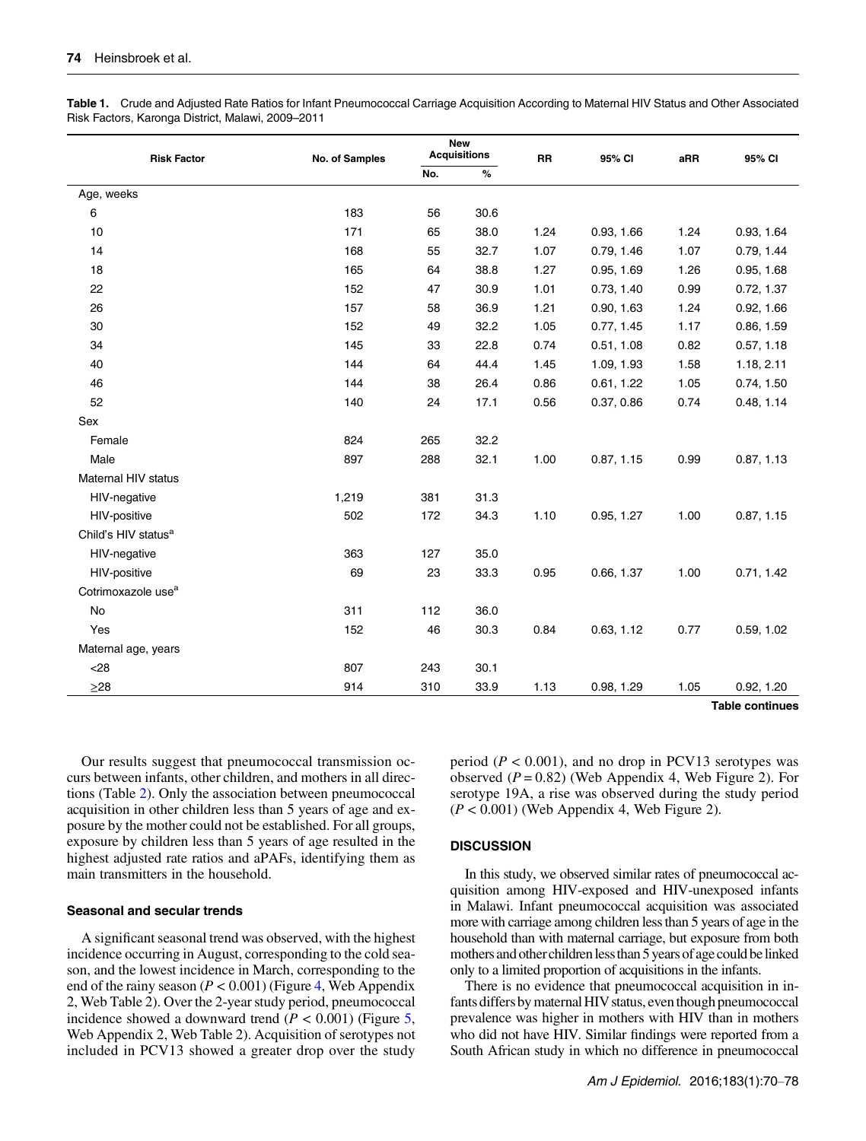<span id="page-4-0"></span>Table 1. Crude and Adjusted Rate Ratios for Infant Pneumococcal Carriage Acquisition According to Maternal HIV Status and Other Associated Risk Factors, Karonga District, Malawi, 2009–2011

| <b>Risk Factor</b>              | No. of Samples | <b>New</b><br><b>Acquisitions</b> |      | <b>RR</b> | 95% CI     | aRR  | 95% CI          |
|---------------------------------|----------------|-----------------------------------|------|-----------|------------|------|-----------------|
|                                 |                | No.                               | %    |           |            |      |                 |
| Age, weeks                      |                |                                   |      |           |            |      |                 |
| 6                               | 183            | 56                                | 30.6 |           |            |      |                 |
| 10                              | 171            | 65                                | 38.0 | 1.24      | 0.93, 1.66 | 1.24 | 0.93, 1.64      |
| 14                              | 168            | 55                                | 32.7 | 1.07      | 0.79, 1.46 | 1.07 | 0.79, 1.44      |
| 18                              | 165            | 64                                | 38.8 | 1.27      | 0.95, 1.69 | 1.26 | 0.95, 1.68      |
| 22                              | 152            | 47                                | 30.9 | 1.01      | 0.73, 1.40 | 0.99 | 0.72, 1.37      |
| 26                              | 157            | 58                                | 36.9 | 1.21      | 0.90, 1.63 | 1.24 | 0.92, 1.66      |
| 30                              | 152            | 49                                | 32.2 | 1.05      | 0.77, 1.45 | 1.17 | 0.86, 1.59      |
| 34                              | 145            | 33                                | 22.8 | 0.74      | 0.51, 1.08 | 0.82 | 0.57, 1.18      |
| 40                              | 144            | 64                                | 44.4 | 1.45      | 1.09, 1.93 | 1.58 | 1.18, 2.11      |
| 46                              | 144            | 38                                | 26.4 | 0.86      | 0.61, 1.22 | 1.05 | 0.74, 1.50      |
| 52                              | 140            | 24                                | 17.1 | 0.56      | 0.37, 0.86 | 0.74 | 0.48, 1.14      |
| Sex                             |                |                                   |      |           |            |      |                 |
| Female                          | 824            | 265                               | 32.2 |           |            |      |                 |
| Male                            | 897            | 288                               | 32.1 | 1.00      | 0.87, 1.15 | 0.99 | 0.87, 1.13      |
| Maternal HIV status             |                |                                   |      |           |            |      |                 |
| HIV-negative                    | 1,219          | 381                               | 31.3 |           |            |      |                 |
| HIV-positive                    | 502            | 172                               | 34.3 | 1.10      | 0.95, 1.27 | 1.00 | 0.87, 1.15      |
| Child's HIV status <sup>a</sup> |                |                                   |      |           |            |      |                 |
| HIV-negative                    | 363            | 127                               | 35.0 |           |            |      |                 |
| HIV-positive                    | 69             | 23                                | 33.3 | 0.95      | 0.66, 1.37 | 1.00 | 0.71, 1.42      |
| Cotrimoxazole use <sup>a</sup>  |                |                                   |      |           |            |      |                 |
| No                              | 311            | 112                               | 36.0 |           |            |      |                 |
| Yes                             | 152            | 46                                | 30.3 | 0.84      | 0.63, 1.12 | 0.77 | 0.59, 1.02      |
| Maternal age, years             |                |                                   |      |           |            |      |                 |
| < 28                            | 807            | 243                               | 30.1 |           |            |      |                 |
| $\geq$ 28                       | 914            | 310                               | 33.9 | 1.13      | 0.98, 1.29 | 1.05 | 0.92, 1.20      |
|                                 |                |                                   |      |           |            |      | Table continues |

Our results suggest that pneumococcal transmission occurs between infants, other children, and mothers in all directions (Table [2\)](#page-6-0). Only the association between pneumococcal acquisition in other children less than 5 years of age and exposure by the mother could not be established. For all groups, exposure by children less than 5 years of age resulted in the highest adjusted rate ratios and aPAFs, identifying them as main transmitters in the household.

## Seasonal and secular trends

A significant seasonal trend was observed, with the highest incidence occurring in August, corresponding to the cold season, and the lowest incidence in March, corresponding to the end of the rainy season ( $P < 0.001$ ) (Figure [4,](#page-7-0) [Web Appendix](http://aje.oxfordjournals.org/lookup/suppl/doi:10.1093/aje/kwv134/-/DC1) [2, Web Table 2\)](http://aje.oxfordjournals.org/lookup/suppl/doi:10.1093/aje/kwv134/-/DC1). Over the 2-year study period, pneumococcal incidence showed a downward trend ( $P < 0.001$ ) (Figure [5](#page-7-0), [Web Appendix 2, Web Table 2\)](http://aje.oxfordjournals.org/lookup/suppl/doi:10.1093/aje/kwv134/-/DC1). Acquisition of serotypes not included in PCV13 showed a greater drop over the study

period ( $P < 0.001$ ), and no drop in PCV13 serotypes was observed  $(P = 0.82)$  [\(Web Appendix 4, Web Figure 2](http://aje.oxfordjournals.org/lookup/suppl/doi:10.1093/aje/kwv134/-/DC1)). For serotype 19A, a rise was observed during the study period  $(P < 0.001)$  [\(Web Appendix 4](http://aje.oxfordjournals.org/lookup/suppl/doi:10.1093/aje/kwv134/-/DC1), [Web Figure 2](http://aje.oxfordjournals.org/lookup/suppl/doi:10.1093/aje/kwv134/-/DC1)).

### **DISCUSSION**

In this study, we observed similar rates of pneumococcal acquisition among HIV-exposed and HIV-unexposed infants in Malawi. Infant pneumococcal acquisition was associated more with carriage among children less than 5 years of age in the household than with maternal carriage, but exposure from both mothers and other children less than 5 years of age could be linked only to a limited proportion of acquisitions in the infants.

There is no evidence that pneumococcal acquisition in infants differs by maternal HIV status, even though pneumococcal prevalence was higher in mothers with HIV than in mothers who did not have HIV. Similar findings were reported from a South African study in which no difference in pneumococcal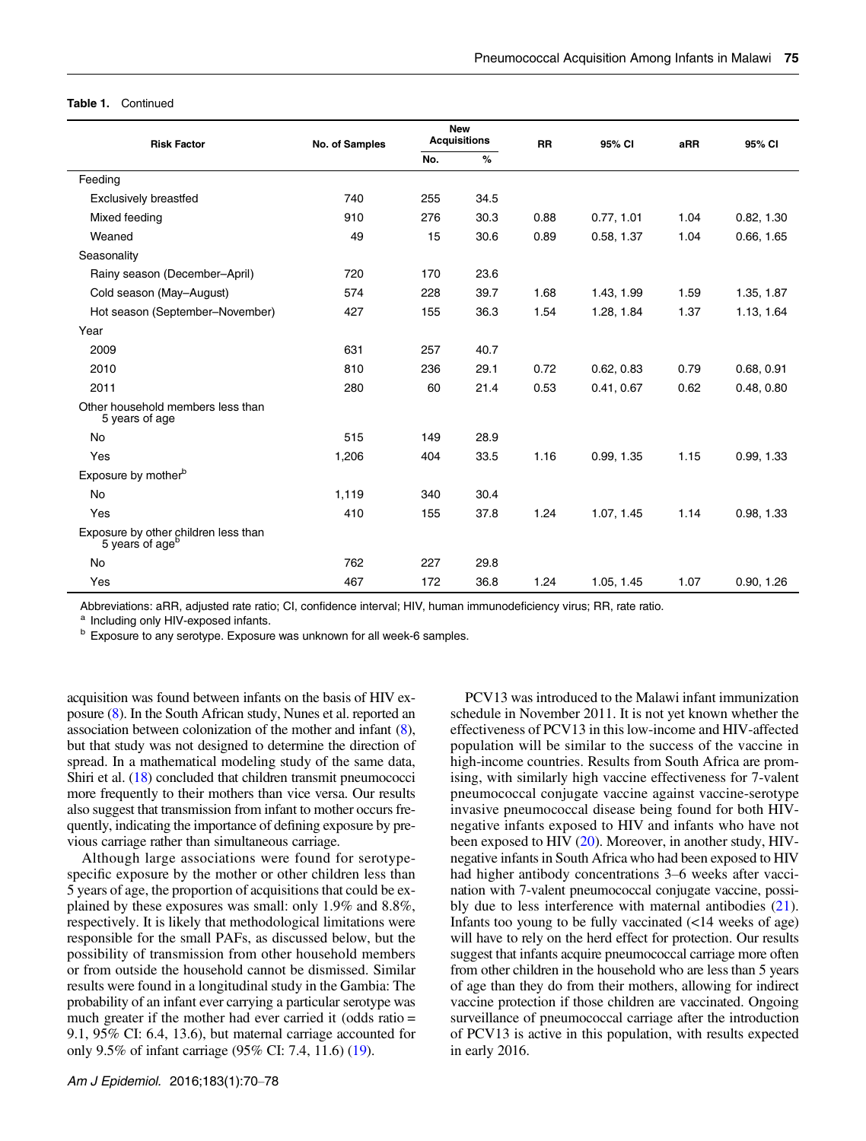## Table 1. Continued

| <b>Risk Factor</b>                                                  | No. of Samples | <b>New</b><br><b>Acquisitions</b> |      | <b>RR</b> | 95% CI     | aRR  | 95% CI     |
|---------------------------------------------------------------------|----------------|-----------------------------------|------|-----------|------------|------|------------|
|                                                                     |                | No.                               | %    |           |            |      |            |
| Feeding                                                             |                |                                   |      |           |            |      |            |
| <b>Exclusively breastfed</b>                                        | 740            | 255                               | 34.5 |           |            |      |            |
| Mixed feeding                                                       | 910            | 276                               | 30.3 | 0.88      | 0.77, 1.01 | 1.04 | 0.82, 1.30 |
| Weaned                                                              | 49             | 15                                | 30.6 | 0.89      | 0.58, 1.37 | 1.04 | 0.66, 1.65 |
| Seasonality                                                         |                |                                   |      |           |            |      |            |
| Rainy season (December-April)                                       | 720            | 170                               | 23.6 |           |            |      |            |
| Cold season (May-August)                                            | 574            | 228                               | 39.7 | 1.68      | 1.43, 1.99 | 1.59 | 1.35, 1.87 |
| Hot season (September-November)                                     | 427            | 155                               | 36.3 | 1.54      | 1.28, 1.84 | 1.37 | 1.13, 1.64 |
| Year                                                                |                |                                   |      |           |            |      |            |
| 2009                                                                | 631            | 257                               | 40.7 |           |            |      |            |
| 2010                                                                | 810            | 236                               | 29.1 | 0.72      | 0.62, 0.83 | 0.79 | 0.68, 0.91 |
| 2011                                                                | 280            | 60                                | 21.4 | 0.53      | 0.41, 0.67 | 0.62 | 0.48, 0.80 |
| Other household members less than<br>5 years of age                 |                |                                   |      |           |            |      |            |
| No                                                                  | 515            | 149                               | 28.9 |           |            |      |            |
| Yes                                                                 | 1,206          | 404                               | 33.5 | 1.16      | 0.99, 1.35 | 1.15 | 0.99, 1.33 |
| Exposure by mother <sup>b</sup>                                     |                |                                   |      |           |            |      |            |
| <b>No</b>                                                           | 1,119          | 340                               | 30.4 |           |            |      |            |
| Yes                                                                 | 410            | 155                               | 37.8 | 1.24      | 1.07, 1.45 | 1.14 | 0.98, 1.33 |
| Exposure by other children less than<br>5 years of age <sup>b</sup> |                |                                   |      |           |            |      |            |
| <b>No</b>                                                           | 762            | 227                               | 29.8 |           |            |      |            |
| Yes                                                                 | 467            | 172                               | 36.8 | 1.24      | 1.05, 1.45 | 1.07 | 0.90, 1.26 |

Abbreviations: aRR, adjusted rate ratio; CI, confidence interval; HIV, human immunodeficiency virus; RR, rate ratio.

a Including only HIV-exposed infants.

b Exposure to any serotype. Exposure was unknown for all week-6 samples.

acquisition was found between infants on the basis of HIV exposure ([8\)](#page-8-0). In the South African study, Nunes et al. reported an association between colonization of the mother and infant ([8](#page-8-0)), but that study was not designed to determine the direction of spread. In a mathematical modeling study of the same data, Shiri et al. ([18](#page-8-0)) concluded that children transmit pneumococci more frequently to their mothers than vice versa. Our results also suggest that transmission from infant to mother occurs frequently, indicating the importance of defining exposure by previous carriage rather than simultaneous carriage.

Although large associations were found for serotypespecific exposure by the mother or other children less than 5 years of age, the proportion of acquisitions that could be explained by these exposures was small: only 1.9% and 8.8%, respectively. It is likely that methodological limitations were responsible for the small PAFs, as discussed below, but the possibility of transmission from other household members or from outside the household cannot be dismissed. Similar results were found in a longitudinal study in the Gambia: The probability of an infant ever carrying a particular serotype was much greater if the mother had ever carried it (odds ratio = 9.1, 95% CI: 6.4, 13.6), but maternal carriage accounted for only 9.5% of infant carriage (95% CI: 7.4, 11.6) ([19](#page-8-0)).

PCV13 was introduced to the Malawi infant immunization schedule in November 2011. It is not yet known whether the effectiveness of PCV13 in this low-income and HIV-affected population will be similar to the success of the vaccine in high-income countries. Results from South Africa are promising, with similarly high vaccine effectiveness for 7-valent pneumococcal conjugate vaccine against vaccine-serotype invasive pneumococcal disease being found for both HIVnegative infants exposed to HIV and infants who have not been exposed to HIV ([20\)](#page-8-0). Moreover, in another study, HIVnegative infants in South Africa who had been exposed to HIV had higher antibody concentrations 3–6 weeks after vaccination with 7-valent pneumococcal conjugate vaccine, possi-bly due to less interference with maternal antibodies [\(21](#page-8-0)). Infants too young to be fully vaccinated (<14 weeks of age) will have to rely on the herd effect for protection. Our results suggest that infants acquire pneumococcal carriage more often from other children in the household who are less than 5 years of age than they do from their mothers, allowing for indirect vaccine protection if those children are vaccinated. Ongoing surveillance of pneumococcal carriage after the introduction of PCV13 is active in this population, with results expected in early 2016.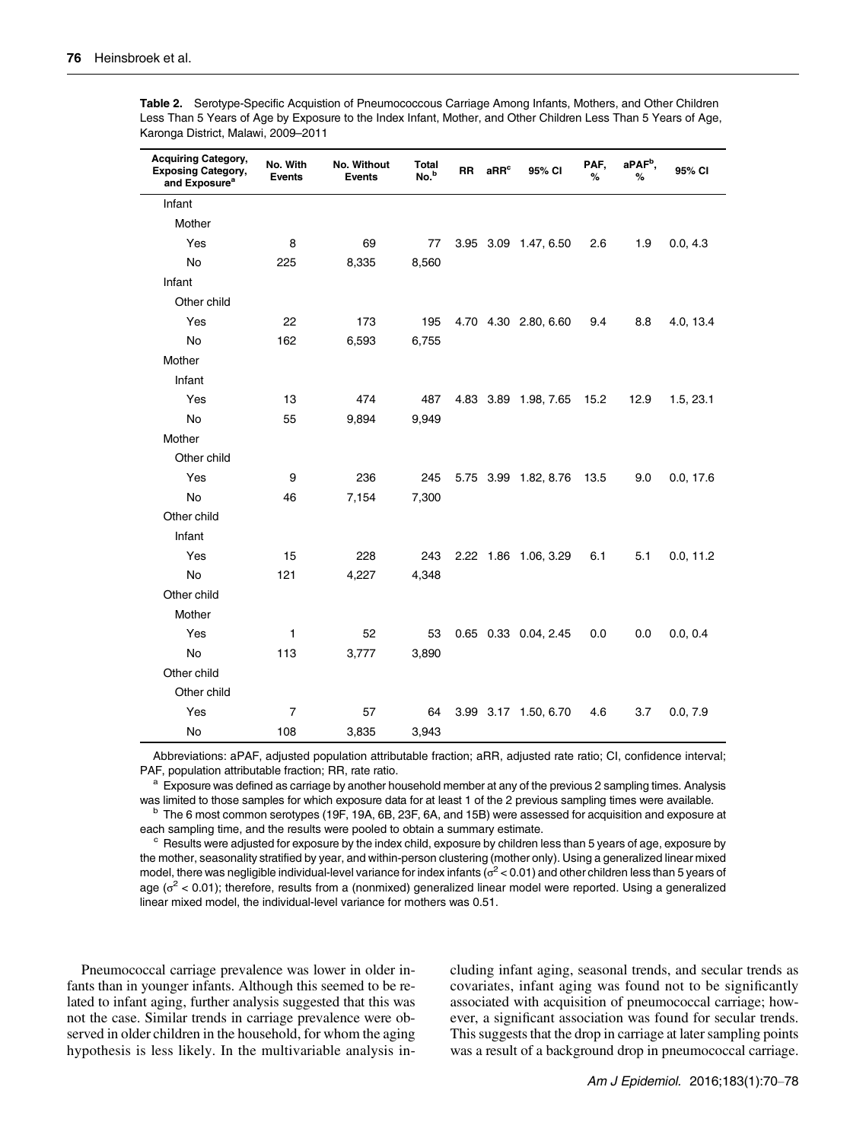| <b>Acquiring Category,</b><br><b>Exposing Category,</b><br>and Exposure <sup>a</sup> | No. With<br><b>Events</b> | No. Without<br><b>Events</b> | <b>Total</b><br>No.b | <b>RR</b> | $a$ RR <sup>c</sup> | 95% CI               | PAF,<br>% | aPAF <sup>b</sup> ,<br>% | 95% CI    |
|--------------------------------------------------------------------------------------|---------------------------|------------------------------|----------------------|-----------|---------------------|----------------------|-----------|--------------------------|-----------|
| Infant                                                                               |                           |                              |                      |           |                     |                      |           |                          |           |
| Mother                                                                               |                           |                              |                      |           |                     |                      |           |                          |           |
| Yes                                                                                  | 8                         | 69                           | 77                   |           |                     | 3.95 3.09 1.47, 6.50 | 2.6       | 1.9                      | 0.0, 4.3  |
| <b>No</b>                                                                            | 225                       | 8,335                        | 8,560                |           |                     |                      |           |                          |           |
| Infant                                                                               |                           |                              |                      |           |                     |                      |           |                          |           |
| Other child                                                                          |                           |                              |                      |           |                     |                      |           |                          |           |
| Yes                                                                                  | 22                        | 173                          | 195                  |           |                     | 4.70 4.30 2.80, 6.60 | 9.4       | 8.8                      | 4.0, 13.4 |
| <b>No</b>                                                                            | 162                       | 6,593                        | 6,755                |           |                     |                      |           |                          |           |
| Mother                                                                               |                           |                              |                      |           |                     |                      |           |                          |           |
| Infant                                                                               |                           |                              |                      |           |                     |                      |           |                          |           |
| Yes                                                                                  | 13                        | 474                          | 487                  |           |                     | 4.83 3.89 1.98, 7.65 | 15.2      | 12.9                     | 1.5, 23.1 |
| No                                                                                   | 55                        | 9,894                        | 9,949                |           |                     |                      |           |                          |           |
| Mother                                                                               |                           |                              |                      |           |                     |                      |           |                          |           |
| Other child                                                                          |                           |                              |                      |           |                     |                      |           |                          |           |
| Yes                                                                                  | 9                         | 236                          | 245                  |           |                     | 5.75 3.99 1.82, 8.76 | 13.5      | 9.0                      | 0.0, 17.6 |
| No                                                                                   | 46                        | 7,154                        | 7,300                |           |                     |                      |           |                          |           |
| Other child                                                                          |                           |                              |                      |           |                     |                      |           |                          |           |
| Infant                                                                               |                           |                              |                      |           |                     |                      |           |                          |           |
| Yes                                                                                  | 15                        | 228                          | 243                  |           |                     | 2.22 1.86 1.06, 3.29 | 6.1       | 5.1                      | 0.0, 11.2 |
| <b>No</b>                                                                            | 121                       | 4,227                        | 4,348                |           |                     |                      |           |                          |           |
| Other child                                                                          |                           |                              |                      |           |                     |                      |           |                          |           |
| Mother                                                                               |                           |                              |                      |           |                     |                      |           |                          |           |
| Yes                                                                                  | 1                         | 52                           | 53                   |           |                     | 0.65 0.33 0.04, 2.45 | 0.0       | 0.0                      | 0.0, 0.4  |
| No                                                                                   | 113                       | 3,777                        | 3,890                |           |                     |                      |           |                          |           |
| Other child                                                                          |                           |                              |                      |           |                     |                      |           |                          |           |
| Other child                                                                          |                           |                              |                      |           |                     |                      |           |                          |           |
| Yes                                                                                  | $\overline{7}$            | 57                           | 64                   |           | 3.99 3.17           | 1.50, 6.70           | 4.6       | 3.7                      | 0.0, 7.9  |
| No                                                                                   | 108                       | 3,835                        | 3,943                |           |                     |                      |           |                          |           |

<span id="page-6-0"></span>Table 2. Serotype-Specific Acquistion of Pneumococcous Carriage Among Infants, Mothers, and Other Children Less Than 5 Years of Age by Exposure to the Index Infant, Mother, and Other Children Less Than 5 Years of Age, Karonga District, Malawi, 2009–2011

Abbreviations: aPAF, adjusted population attributable fraction; aRR, adjusted rate ratio; CI, confidence interval; PAF, population attributable fraction; RR, rate ratio.

<sup>a</sup> Exposure was defined as carriage by another household member at any of the previous 2 sampling times. Analysis was limited to those samples for which exposure data for at least 1 of the 2 previous sampling times were available.

 $^{\rm b}$  The 6 most common serotypes (19F, 19A, 6B, 23F, 6A, and 15B) were assessed for acquisition and exposure at each sampling time, and the results were pooled to obtain a summary estimate.

<sup>c</sup> Results were adjusted for exposure by the index child, exposure by children less than 5 years of age, exposure by the mother, seasonality stratified by year, and within-person clustering (mother only). Using a generalized linear mixed model, there was negligible individual-level variance for index infants ( $\sigma^2$  < 0.01) and other children less than 5 years of age ( $\sigma^2$  < 0.01); therefore, results from a (nonmixed) generalized linear model were reported. Using a generalized linear mixed model, the individual-level variance for mothers was 0.51.

Pneumococcal carriage prevalence was lower in older infants than in younger infants. Although this seemed to be related to infant aging, further analysis suggested that this was not the case. Similar trends in carriage prevalence were observed in older children in the household, for whom the aging hypothesis is less likely. In the multivariable analysis including infant aging, seasonal trends, and secular trends as covariates, infant aging was found not to be significantly associated with acquisition of pneumococcal carriage; however, a significant association was found for secular trends. This suggests that the drop in carriage at later sampling points was a result of a background drop in pneumococcal carriage.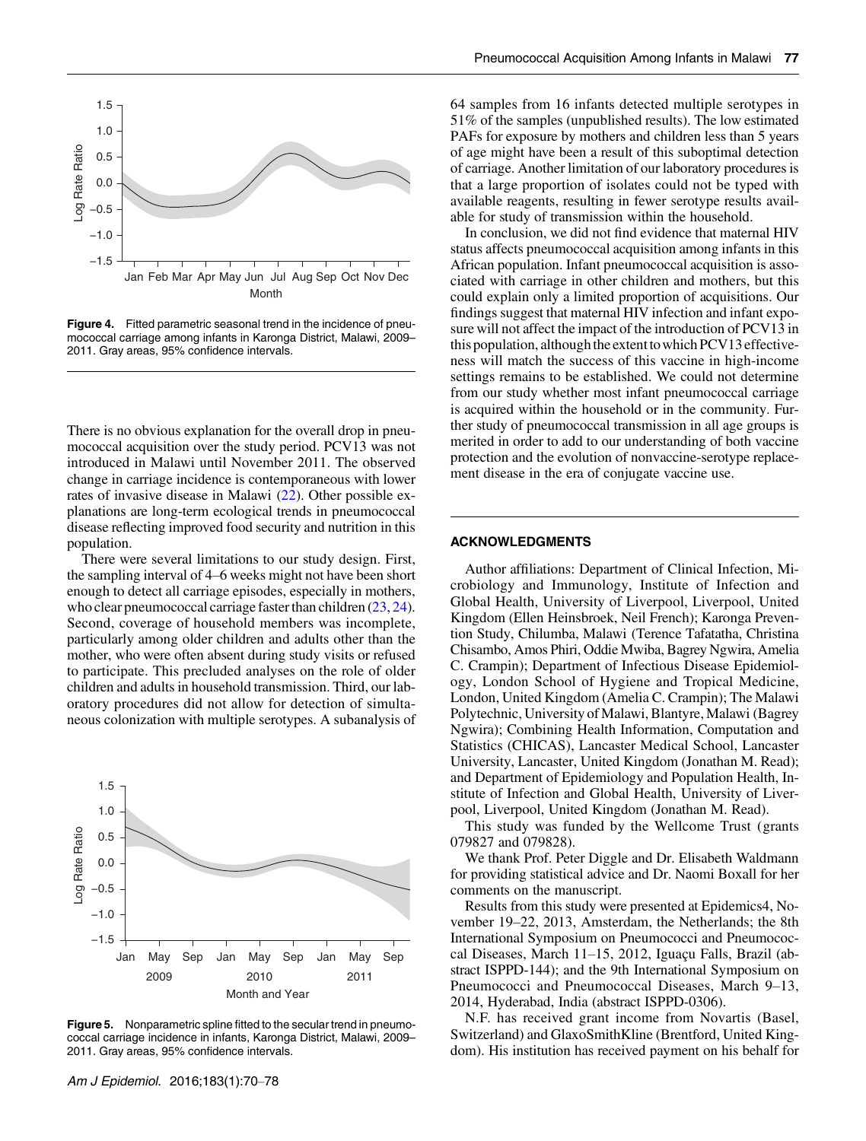<span id="page-7-0"></span>

**Figure 4.** Fitted parametric seasonal trend in the incidence of pneumococcal carriage among infants in Karonga District, Malawi, 2009– 2011. Gray areas, 95% confidence intervals.

There is no obvious explanation for the overall drop in pneumococcal acquisition over the study period. PCV13 was not introduced in Malawi until November 2011. The observed change in carriage incidence is contemporaneous with lower rates of invasive disease in Malawi ([22\)](#page-8-0). Other possible explanations are long-term ecological trends in pneumococcal disease reflecting improved food security and nutrition in this population.

There were several limitations to our study design. First, the sampling interval of 4–6 weeks might not have been short enough to detect all carriage episodes, especially in mothers, who clear pneumococcal carriage faster than children [\(23](#page-8-0), [24](#page-8-0)). Second, coverage of household members was incomplete, particularly among older children and adults other than the mother, who were often absent during study visits or refused to participate. This precluded analyses on the role of older children and adults in household transmission. Third, our laboratory procedures did not allow for detection of simultaneous colonization with multiple serotypes. A subanalysis of



Figure 5. Nonparametric spline fitted to the secular trend in pneumococcal carriage incidence in infants, Karonga District, Malawi, 2009– 2011. Gray areas, 95% confidence intervals.

64 samples from 16 infants detected multiple serotypes in 51% of the samples (unpublished results). The low estimated PAFs for exposure by mothers and children less than 5 years of age might have been a result of this suboptimal detection of carriage. Another limitation of our laboratory procedures is that a large proportion of isolates could not be typed with available reagents, resulting in fewer serotype results available for study of transmission within the household.

In conclusion, we did not find evidence that maternal HIV status affects pneumococcal acquisition among infants in this African population. Infant pneumococcal acquisition is associated with carriage in other children and mothers, but this could explain only a limited proportion of acquisitions. Our findings suggest that maternal HIV infection and infant exposure will not affect the impact of the introduction of PCV13 in this population, although the extent to which  $PCV13$  effectiveness will match the success of this vaccine in high-income settings remains to be established. We could not determine from our study whether most infant pneumococcal carriage is acquired within the household or in the community. Further study of pneumococcal transmission in all age groups is merited in order to add to our understanding of both vaccine protection and the evolution of nonvaccine-serotype replacement disease in the era of conjugate vaccine use.

#### ACKNOWLEDGMENTS

Author affiliations: Department of Clinical Infection, Microbiology and Immunology, Institute of Infection and Global Health, University of Liverpool, Liverpool, United Kingdom (Ellen Heinsbroek, Neil French); Karonga Prevention Study, Chilumba, Malawi (Terence Tafatatha, Christina Chisambo, Amos Phiri, Oddie Mwiba, Bagrey Ngwira, Amelia C. Crampin); Department of Infectious Disease Epidemiology, London School of Hygiene and Tropical Medicine, London, United Kingdom (Amelia C. Crampin); The Malawi Polytechnic, University of Malawi, Blantyre, Malawi (Bagrey Ngwira); Combining Health Information, Computation and Statistics (CHICAS), Lancaster Medical School, Lancaster University, Lancaster, United Kingdom (Jonathan M. Read); and Department of Epidemiology and Population Health, Institute of Infection and Global Health, University of Liverpool, Liverpool, United Kingdom (Jonathan M. Read).

This study was funded by the Wellcome Trust (grants 079827 and 079828).

We thank Prof. Peter Diggle and Dr. Elisabeth Waldmann for providing statistical advice and Dr. Naomi Boxall for her comments on the manuscript.

Results from this study were presented at Epidemics4, November 19–22, 2013, Amsterdam, the Netherlands; the 8th International Symposium on Pneumococci and Pneumococcal Diseases, March 11–15, 2012, Iguaçu Falls, Brazil (abstract ISPPD-144); and the 9th International Symposium on Pneumococci and Pneumococcal Diseases, March 9–13, 2014, Hyderabad, India (abstract ISPPD-0306).

N.F. has received grant income from Novartis (Basel, Switzerland) and GlaxoSmithKline (Brentford, United Kingdom). His institution has received payment on his behalf for